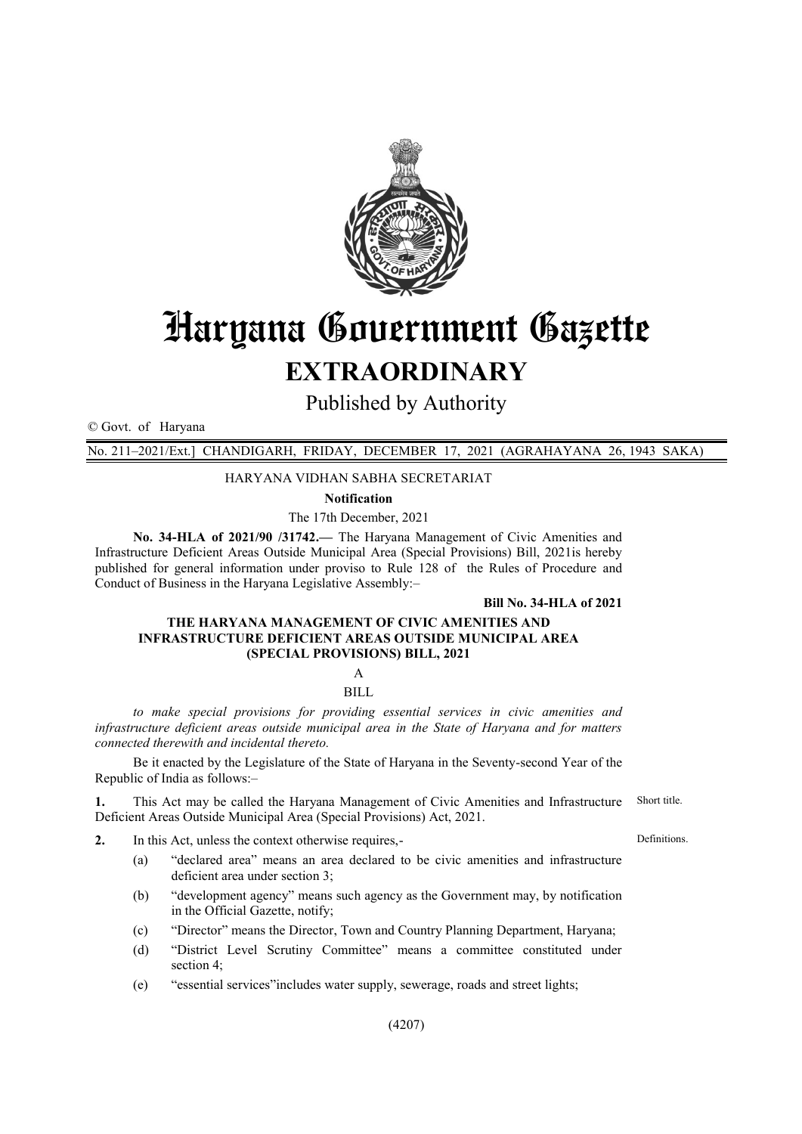

# Haryana Government Gazette **EXTRAORDINARY**

Published by Authority

© Govt. of Haryana

No. 211–2021/Ext.] CHANDIGARH, FRIDAY, DECEMBER 17, 2021 (AGRAHAYANA 26, 1943 SAKA)

#### HARYANA VIDHAN SABHA SECRETARIAT

**Notification**

The 17th December, 2021

**No. 34-HLA of 2021/90 /31742.—** The Haryana Management of Civic Amenities and Infrastructure Deficient Areas Outside Municipal Area (Special Provisions) Bill, 2021is hereby published for general information under proviso to Rule 128 of the Rules of Procedure and Conduct of Business in the Haryana Legislative Assembly:–

#### **Bill No. 34-HLA of 2021**

#### **THE HARYANA MANAGEMENT OF CIVIC AMENITIES AND INFRASTRUCTURE DEFICIENT AREAS OUTSIDE MUNICIPAL AREA (SPECIAL PROVISIONS) BILL, 2021**

A

BILL

*to make special provisions for providing essential services in civic amenities and infrastructure deficient areas outside municipal area in the State of Haryana and for matters connected therewith and incidental thereto.*

Be it enacted by the Legislature of the State of Haryana in the Seventy-second Year of the Republic of India as follows:–

**1.** This Act may be called the Haryana Management of Civic Amenities and Infrastructure Deficient Areas Outside Municipal Area (Special Provisions) Act, 2021. Short title.

- **2.** In this Act, unless the context otherwise requires,-
	- (a) "declared area" means an area declared to be civic amenities and infrastructure deficient area under section 3;
	- (b) "development agency" means such agency as the Government may, by notification in the Official Gazette, notify;
	- (c) "Director" means the Director, Town and Country Planning Department, Haryana;
	- (d) "District Level Scrutiny Committee" means a committee constituted under section 4;
	- (e) "essential services"includes water supply, sewerage, roads and street lights;

**Definitions**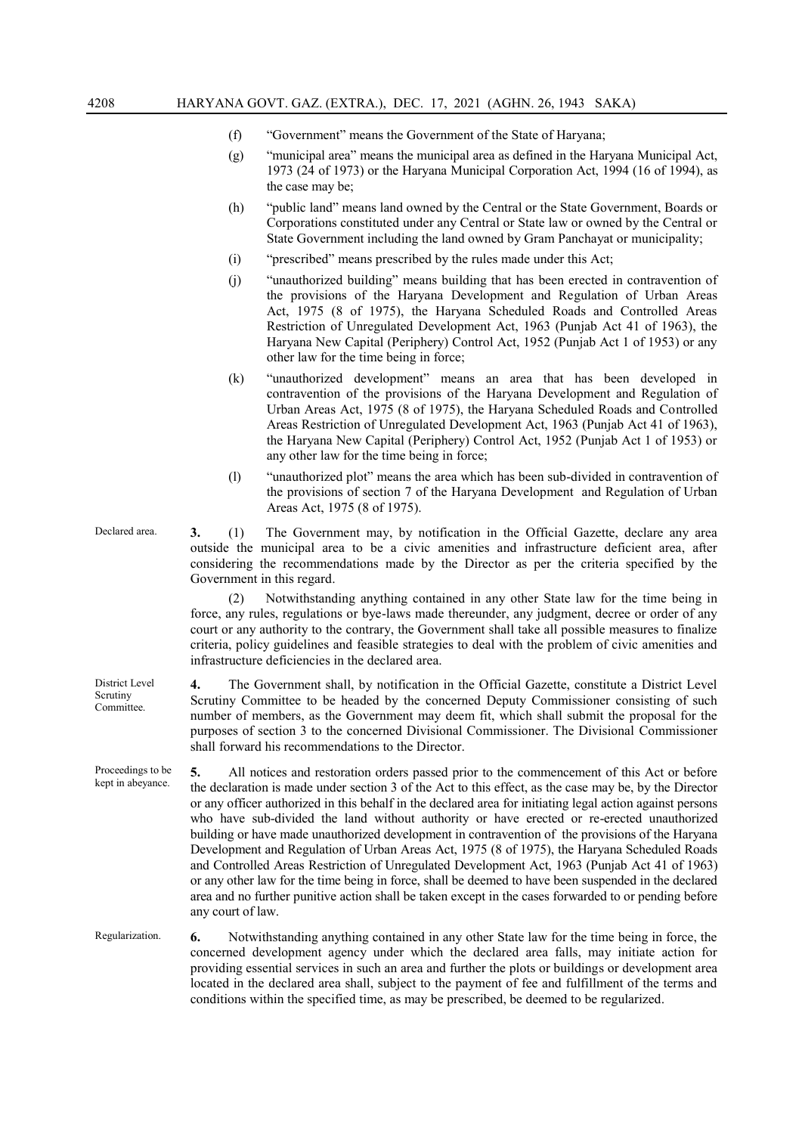- (f) "Government" means the Government of the State of Haryana;
- (g) "municipal area" means the municipal area as defined in the Haryana Municipal Act, 1973 (24 of 1973) or the Haryana Municipal Corporation Act, 1994 (16 of 1994), as the case may be;
- (h) "public land" means land owned by the Central or the State Government, Boards or Corporations constituted under any Central or State law or owned by the Central or State Government including the land owned by Gram Panchayat or municipality;
- (i) "prescribed" means prescribed by the rules made under this Act;
- (j) "unauthorized building" means building that has been erected in contravention of the provisions of the Haryana Development and Regulation of Urban Areas Act, 1975 (8 of 1975), the Haryana Scheduled Roads and Controlled Areas Restriction of Unregulated Development Act, 1963 (Punjab Act 41 of 1963), the Haryana New Capital (Periphery) Control Act, 1952 (Punjab Act 1 of 1953) or any other law for the time being in force;
- (k) "unauthorized development" means an area that has been developed in contravention of the provisions of the Haryana Development and Regulation of Urban Areas Act, 1975 (8 of 1975), the Haryana Scheduled Roads and Controlled Areas Restriction of Unregulated Development Act, 1963 (Punjab Act 41 of 1963), the Haryana New Capital (Periphery) Control Act, 1952 (Punjab Act 1 of 1953) or any other law for the time being in force;
- (l) "unauthorized plot" means the area which has been sub-divided in contravention of the provisions of section 7 of the Haryana Development and Regulation of Urban Areas Act, 1975 (8 of 1975).
- Declared area. **3.** (1) The Government may, by notification in the Official Gazette, declare any area outside the municipal area to be a civic amenities and infrastructure deficient area, after considering the recommendations made by the Director as per the criteria specified by the Government in this regard.

(2) Notwithstanding anything contained in any other State law for the time being in force, any rules, regulations or bye-laws made thereunder, any judgment, decree or order of any court or any authority to the contrary, the Government shall take all possible measures to finalize criteria, policy guidelines and feasible strategies to deal with the problem of civic amenities and infrastructure deficiencies in the declared area.

**4.** The Government shall, by notification in the Official Gazette, constitute a District Level Scrutiny Committee to be headed by the concerned Deputy Commissioner consisting of such number of members, as the Government may deem fit, which shall submit the proposal for the purposes of section 3 to the concerned Divisional Commissioner. The Divisional Commissioner shall forward his recommendations to the Director.

**5.** All notices and restoration orders passed prior to the commencement of this Act or before the declaration is made under section 3 of the Act to this effect, as the case may be, by the Director or any officer authorized in this behalf in the declared area for initiating legal action against persons who have sub-divided the land without authority or have erected or re-erected unauthorized building or have made unauthorized development in contravention of the provisions of the Haryana Development and Regulation of Urban Areas Act, 1975 (8 of 1975), the Haryana Scheduled Roads and Controlled Areas Restriction of Unregulated Development Act, 1963 (Punjab Act 41 of 1963) or any other law for the time being in force, shall be deemed to have been suspended in the declared area and no further punitive action shall be taken except in the cases forwarded to or pending before any court of law.

Regularization. **6.** Notwithstanding anything contained in any other State law for the time being in force, the concerned development agency under which the declared area falls, may initiate action for providing essential services in such an area and further the plots or buildings or development area located in the declared area shall, subject to the payment of fee and fulfillment of the terms and conditions within the specified time, as may be prescribed, be deemed to be regularized.

District Level Scrutiny Committee.

Proceedings to be kept in abeyance.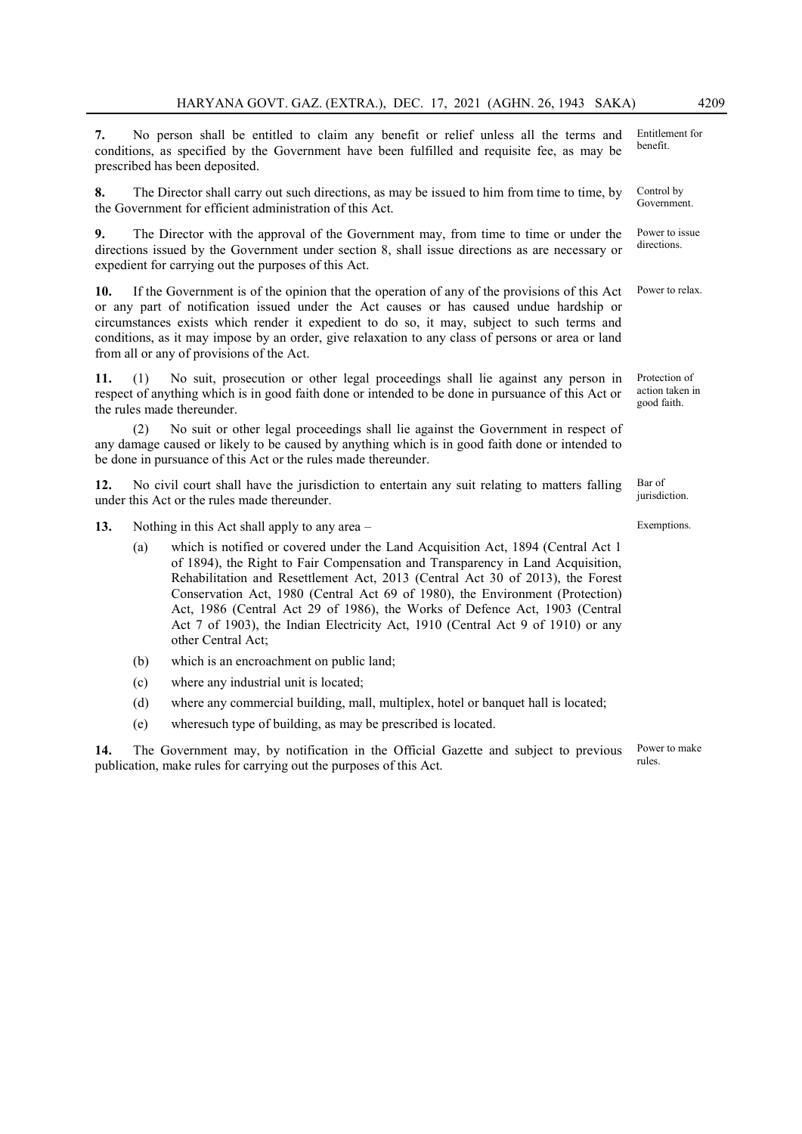**7.** No person shall be entitled to claim any benefit or relief unless all the terms and conditions, as specified by the Government have been fulfilled and requisite fee, as may be prescribed has been deposited. Entitlement for benefit.

**8.** The Director shall carry out such directions, as may be issued to him from time to time, by the Government for efficient administration of this Act.

**9.** The Director with the approval of the Government may, from time to time or under the directions issued by the Government under section 8, shall issue directions as are necessary or expedient for carrying out the purposes of this Act.

**10.** If the Government is of the opinion that the operation of any of the provisions of this Act or any part of notification issued under the Act causes or has caused undue hardship or circumstances exists which render it expedient to do so, it may, subject to such terms and conditions, as it may impose by an order, give relaxation to any class of persons or area or land from all or any of provisions of the Act.

**11.** (1) No suit, prosecution or other legal proceedings shall lie against any person in respect of anything which is in good faith done or intended to be done in pursuance of this Act or the rules made thereunder.

(2) No suit or other legal proceedings shall lie against the Government in respect of any damage caused or likely to be caused by anything which is in good faith done or intended to be done in pursuance of this Act or the rules made thereunder.

**12.** No civil court shall have the jurisdiction to entertain any suit relating to matters falling under this Act or the rules made thereunder.

**13.** Nothing in this Act shall apply to any area –

- (a) which is notified or covered under the Land Acquisition Act, 1894 (Central Act 1 of 1894), the Right to Fair Compensation and Transparency in Land Acquisition, Rehabilitation and Resettlement Act, 2013 (Central Act 30 of 2013), the Forest Conservation Act, 1980 (Central Act 69 of 1980), the Environment (Protection) Act, 1986 (Central Act 29 of 1986), the Works of Defence Act, 1903 (Central Act 7 of 1903), the Indian Electricity Act, 1910 (Central Act 9 of 1910) or any other Central Act;
- (b) which is an encroachment on public land;
- (c) where any industrial unit is located;
- (d) where any commercial building, mall, multiplex, hotel or banquet hall is located;
- (e) wheresuch type of building, as may be prescribed is located.

**14.** The Government may, by notification in the Official Gazette and subject to previous publication, make rules for carrying out the purposes of this Act. rules.

Control by Government.

Power to issue directions.

Power to relax.

Protection of action taken in good faith.

Bar of jurisdiction.

Exemptions.

Power to make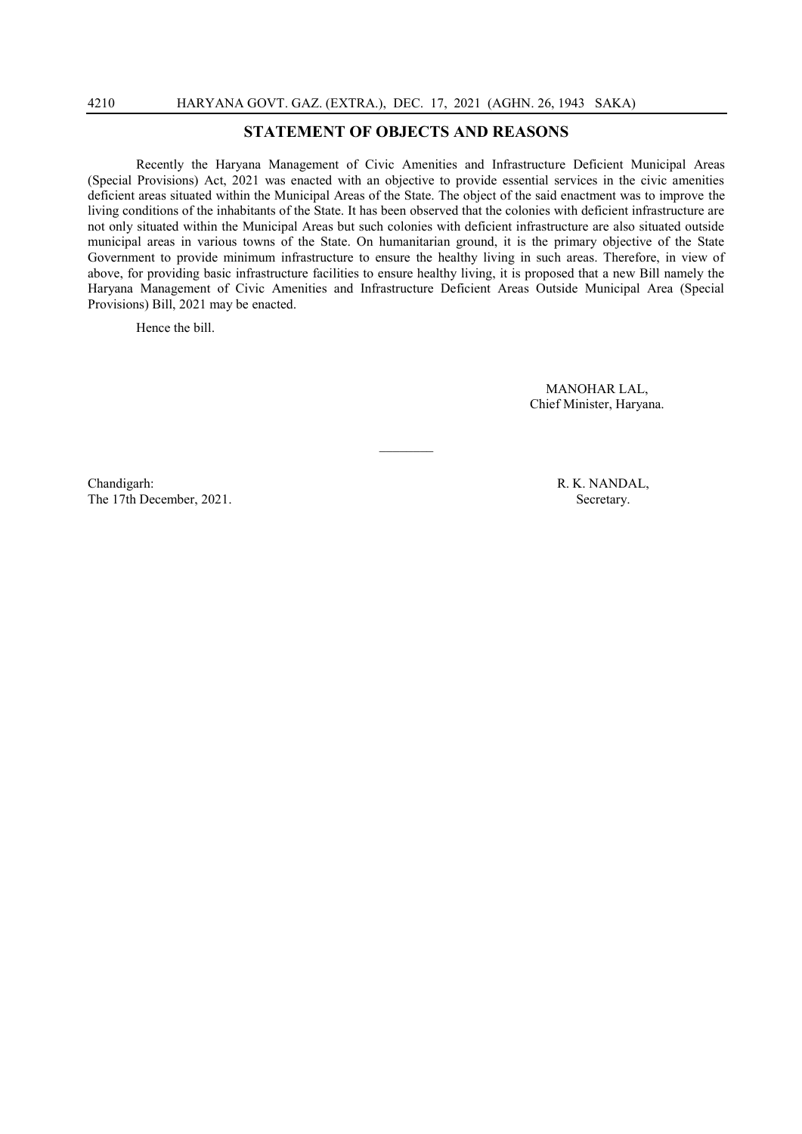### **STATEMENT OF OBJECTS AND REASONS**

Recently the Haryana Management of Civic Amenities and Infrastructure Deficient Municipal Areas (Special Provisions) Act, 2021 was enacted with an objective to provide essential services in the civic amenities deficient areas situated within the Municipal Areas of the State. The object of the said enactment was to improve the living conditions of the inhabitants of the State. It has been observed that the colonies with deficient infrastructure are not only situated within the Municipal Areas but such colonies with deficient infrastructure are also situated outside municipal areas in various towns of the State. On humanitarian ground, it is the primary objective of the State Government to provide minimum infrastructure to ensure the healthy living in such areas. Therefore, in view of above, for providing basic infrastructure facilities to ensure healthy living, it is proposed that a new Bill namely the Haryana Management of Civic Amenities and Infrastructure Deficient Areas Outside Municipal Area (Special Provisions) Bill, 2021 may be enacted.

 $\mathcal{L}$ 

Hence the bill.

MANOHAR LAL, Chief Minister, Haryana.

Chandigarh: R. K. NANDAL, The 17th December, 2021. Secretary.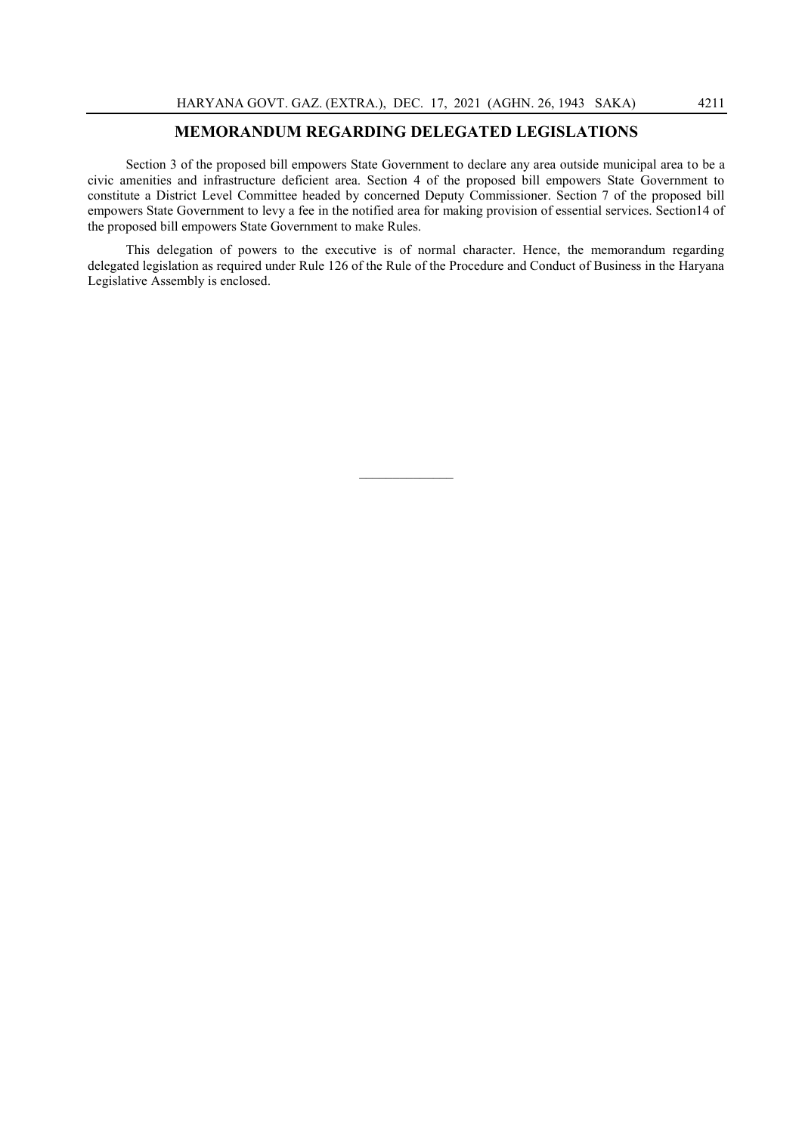#### **MEMORANDUM REGARDING DELEGATED LEGISLATIONS**

Section 3 of the proposed bill empowers State Government to declare any area outside municipal area to be a civic amenities and infrastructure deficient area. Section 4 of the proposed bill empowers State Government to constitute a District Level Committee headed by concerned Deputy Commissioner. Section 7 of the proposed bill empowers State Government to levy a fee in the notified area for making provision of essential services. Section14 of the proposed bill empowers State Government to make Rules.

This delegation of powers to the executive is of normal character. Hence, the memorandum regarding delegated legislation as required under Rule 126 of the Rule of the Procedure and Conduct of Business in the Haryana Legislative Assembly is enclosed.

 $\mathcal{L}=\mathcal{L}$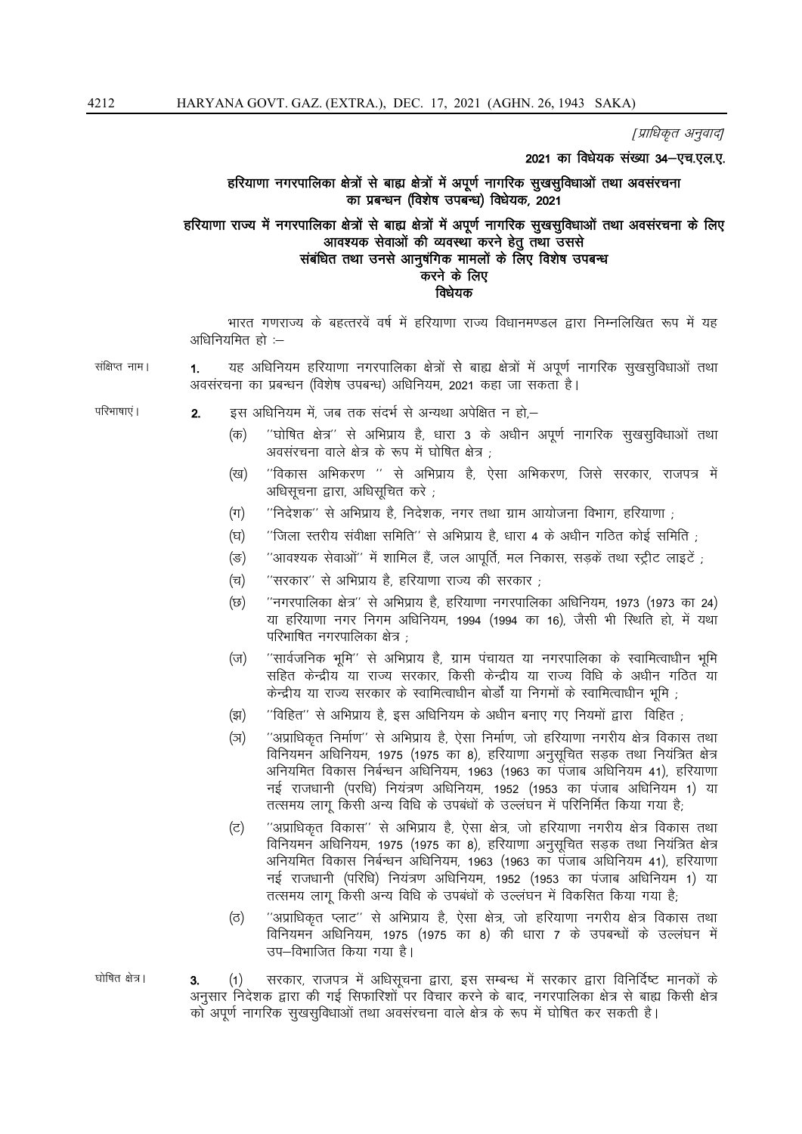[प्राधिकृत अनुवाद]

2021 का विधेयक संख्या 34-एच.एल.ए.

#### हरियाणा नगरपालिका क्षेत्रों से बाह्य क्षेत्रों में अपूर्ण नागरिक सुखसुविधाओं तथा अवसंरचना का प्रबन्धन (विशेष उपबन्ध) विधेयक, 2021

#### हरियाणा राज्य में नगरपालिका क्षेत्रों से बाह्य क्षेत्रों में अपूर्ण नागरिक सूखसुविधाओं तथा अवसंरचना के लिए आवश्यक सेवाओं की व्यवस्था करने हेतु तथा उससे संबंधित तथा उनसे आनुषंगिक मामलों के लिए विशेष उपबन्ध करने के लिए विधेयक

भारत गणराज्य के बहत्तरवें वर्ष में हरियाणा राज्य विधानमण्डल द्वारा निम्नलिखित रूप में यह अधिनियमित हो :-

संक्षिप्त नाम। यह अधिनियम हरियाणा नगरपालिका क्षेत्रों से बाह्य क्षेत्रों में अपूर्ण नागरिक सुखसुविधाओं तथा  $1.$ अवसंरचना का प्रबन्धन (विशेष उपबन्ध) अधिनियम, 2021 कहा जा सकता है।

परिभाषाएं ।

- इस अधिनियम में. जब तक संदर्भ से अन्यथा अपेक्षित न हो—  $2.$ 
	- "घोषित क्षेत्र" से अभिप्राय है, धारा 3 के अधीन अपूर्ण नागरिक सुखसुविधाओं तथा  $(\overline{dp})$ अवसंरचना वाले क्षेत्र के रूप में घोषित क्षेत्र :
	- ''विकास अभिकरण '' से अभिप्राय है, ऐसा अभिकरण, जिसे सरकार, राजपत्र में (ख) अधिसूचना द्वारा, अधिसूचित करे;
	- "निदेशक" से अभिप्राय है. निदेशक, नगर तथा ग्राम आयोजना विभाग, हरियाणा :  $(\pi)$
	- "जिला स्तरीय संवीक्षा समिति" से अभिप्राय है, धारा 4 के अधीन गठित कोई समिति ; (घ)
	- "आवश्यक सेवाओं" में शामिल हैं, जल आपूर्ति, मल निकास, सड़कें तथा स्ट्रीट लाइटें ;  $(\overline{S})$
	- $(\overline{u})$ ''सरकार'' से अभिप्राय है, हरियाणा राज्य की सरकार ;
	- "नगरपालिका क्षेत्र" से अभिप्राय है, हरियाणा नगरपालिका अधिनियम, 1973 (1973 का 24) (छ) या हरियाणा नगर निगम अधिनियम, 1994 (1994 का 16), जैसी भी स्थिति हो, में यथा परिभाषित नगरपालिका क्षेत्र :
	- ''सार्वजनिक भूमि'' से अभिप्राय है, ग्राम पंचायत या नगरपालिका के स्वामित्वाधीन भूमि  $(\overline{v})$ सहित केन्द्रीय या राज्य सरकार, किसी केन्द्रीय या राज्य विधि के अधीन गठित या केन्द्रीय या राज्य सरकार के स्वामित्वाधीन बोर्डों या निगमों के स्वामित्वाधीन भूमि ;
	- "विहित" से अभिप्राय है, इस अधिनियम के अधीन बनाए गए नियमों द्वारा विहित ; (झ)
	- "अप्राधिकृत निर्माण" से अभिप्राय है, ऐसा निर्माण, जो हरियाणा नगरीय क्षेत्र विकास तथा (স) विनियमन अधिनियम, 1975 (1975 का 8), हरियाणा अनुसूचित सड़क तथा नियंत्रित क्षेत्र अनियमित विकास निर्बन्धन अधिनियम, 1963 (1963 का पंजाब अधिनियम 41), हरियाणा नई राजधानी (परधि) नियंत्रण अधिनियम, 1952 (1953 का पंजाब अधिनियम 1) या तत्समय लाग किसी अन्य विधि के उपबंधों के उल्लंघन में परिनिर्मित किया गया है:
	- ''अप्राधिकृत विकास'' से अभिप्राय है, ऐसा क्षेत्र, जो हरियाणा नगरीय क्षेत्र विकास तथा (ਟ) विनियमन अधिनियम, 1975 (1975 का 8), हरियाणा अनुसूचित सड़क तथा नियंत्रित क्षेत्र अनियमित विकास निर्बन्धन अधिनियम, 1963 (1963 का पंजाब अधिनियम 41), हरियाणा नई राजधानी (परिधि) नियंत्रण अधिनियम, 1952 (1953 का पंजाब अधिनियम 1) या तत्समय लागू किसी अन्य विधि के उपबंधों के उल्लंघन में विकसित किया गया है;
	- ''अप्राधिकृत प्लाट'' से अभिप्राय है, ऐसा क्षेत्र, जो हरियाणा नगरीय क्षेत्र विकास तथा (ਰ) विनियमन अधिनियम, 1975 (1975 का 8) की धारा 7 के उपबन्धों के उल्लंघन में उप-विभाजित किया गया है।
- $(1)$ सरकार, राजपत्र में अधिसूचना द्वारा, इस सम्बन्ध में सरकार द्वारा विनिर्दिष्ट मानकों के 3. अनुसार निदेशक द्वारा की गई सिफारिशों पर विचार करने के बाद, नगरपालिका क्षेत्र से बाह्य किसी क्षेत्र को अपूर्ण नागरिक सुखसुविधाओं तथा अवसंरचना वाले क्षेत्र के रूप में घोषित कर सकती है।

घोषित क्षेत्र।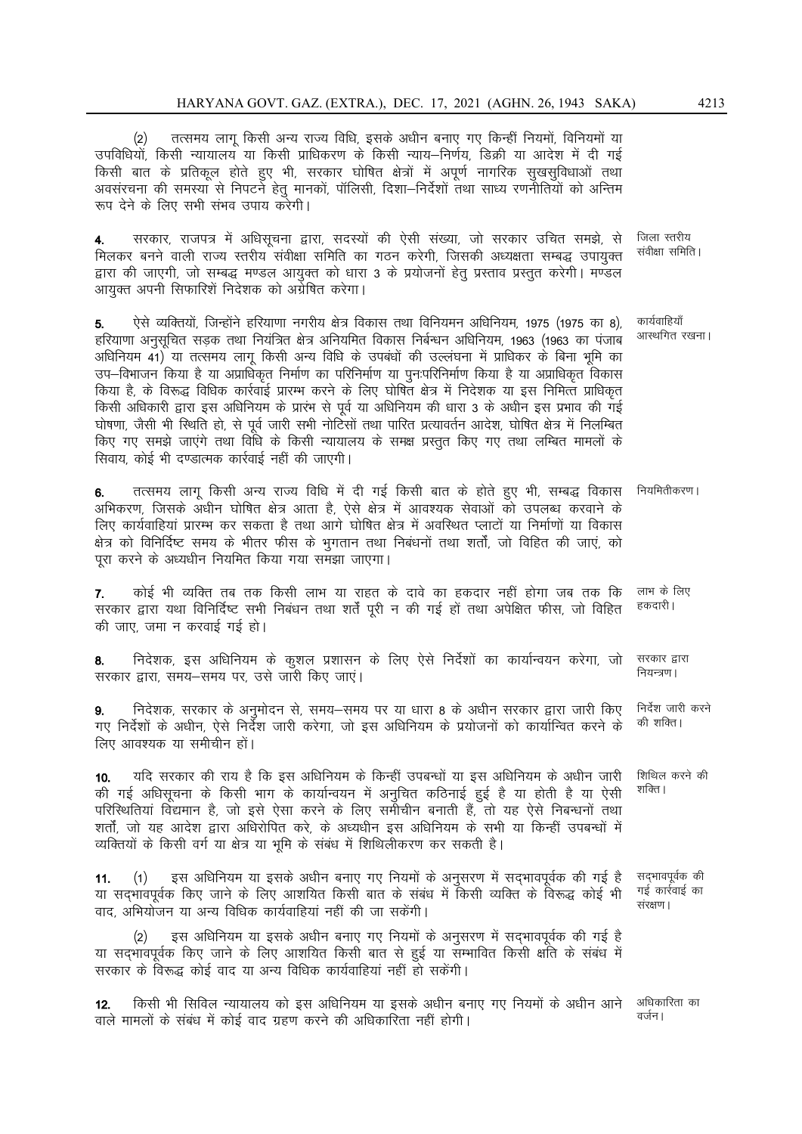तत्समय लागू किसी अन्य राज्य विधि, इसके अधीन बनाए गए किन्हीं नियमों, विनियमों या  $(2)$ उपविधियों, किसी न्यायालय या किसी प्राधिकरण के किसी न्याय–निर्णय, डिक्री या आदेश में दी गई किसी बात के प्रतिकूल होते हुए भी, सरकार घोषित क्षेत्रों में अपूर्ण नागरिक सूखसूविधाओं तथा अवसंरचना की समस्या से निपटने हेतु मानकों, पॉलिसी, दिशा–निर्देशों तथा साध्य रणनीतियों को अन्तिम रूप देने के लिए सभी संभव उपाय करेगी।

सरकार, राजपत्र में अधिसूचना द्वारा, सदस्यों की ऐसी संख्या, जो सरकार उचित समझे, से जिला स्तरीय संवीक्षा समिति । मिलकर बनने वाली राज्य स्तरीय संवीक्षा समिति का गठन करेगी, जिसकी अध्यक्षता सम्बद्ध उपायुक्त द्वारा की जाएगी, जो सम्बद्ध मण्डल आयुक्त को धारा 3 के प्रयोजनों हेतु प्रस्ताव प्रस्तुत करेगी। मण्डल आयुक्त अपनी सिफारिशें निदेशक को अग्रेषित करेगा।

कार्यवाहियाँ ऐसे व्यक्तियों, जिन्होंने हरियाणा नगरीय क्षेत्र विकास तथा विनियमन अधिनियम, 1975 (1975 का 8), 5. आस्थगित रखना। हरियाणा अनुसूचित सड़क तथा नियंत्रित क्षेत्र अनियमित विकास निर्बन्धन अधिनियम, 1963 (1963 का पंजाब अधिनियम 41) या तत्समय लागू किसी अन्य विधि के उपबंधों की उल्लंघना में प्राधिकर के बिना भूमि का उप–विभाजन किया है या अप्राधिकृत निर्माण का परिनिर्माण या पुनःपरिनिर्माण किया है या अप्राधिकृत विकास किया है, के विरूद्ध विधिक कार्रवाई प्रारम्भ करने के लिए घोषित क्षेत्र में निदेशक या इस निमित्त प्राधिकृत किसी अधिकारी द्वारा इस अधिनियम के प्रारंभ से पूर्व या अधिनियम की धारा 3 के अधीन इस प्रभाव की गई घोषणा, जैसी भी स्थिति हो, से पूर्व जारी सभी नोटिसों तथा पारित प्रत्यावर्तन आदेश, घोषित क्षेत्र में निलम्बित किए गए समझे जाएंगे तथा विधि के किसी न्यायालय के समक्ष प्रस्तुत किए गए तथा लम्बित मामलों के सिवाय, कोई भी दण्डात्मक कार्रवाई नहीं की जाएगी।

तत्समय लागू किसी अन्य राज्य विधि में दी गई किसी बात के होते हुए भी, सम्बद्ध विकास नियमितीकरण। 6. अभिकरण, जिसके अधीन घोषित क्षेत्र आता है, ऐसे क्षेत्र में आवश्यक सेवाओं को उपलब्ध करवाने के लिए कार्यवाहियां प्रारम्भ कर सकता है तथा आगे घोषित क्षेत्र में अवस्थित प्लाटों या निर्माणों या विकास क्षेत्र को विनिर्दिष्ट समय के भीतर फीस के भुगतान तथा निबंधनों तथा शर्तों, जो विहित की जाएं, को परा करने के अध्यधीन नियमित किया गया समझा जाएगा।

कोई भी व्यक्ति तब तक किसी लाभ या राहत के दावे का हकदार नहीं होगा जब तक कि लाभ के लिए  $\overline{7}$ . हकदारी। सरकार द्वारा यथा विनिर्दिष्ट सभी निबंधन तथा शर्तें पूरी न की गई हों तथा अपेक्षित फीस, जो विहित की जाए, जमा न करवाई गई हो।

निदेशक, इस अधिनियम के कूशल प्रशासन के लिए ऐसे निर्देशों का कार्यान्वयन करेगा, जो सरकार द्वारा 8. नियन्त्रण। सरकार द्वारा, समय-समय पर, उसे जारी किए जाएं।

निर्देश जारी करने निदेशक, सरकार के अनुमोदन से, समय-समय पर या धारा 8 के अधीन सरकार द्वारा जारी किए 9. की शक्ति। गए निर्देशों के अधीन, ऐसे निर्देश जारी करेगा, जो इस अधिनियम के प्रयोजनों को कार्यान्वित करने के लिए आवश्यक या समीचीन हों।

यदि सरकार की राय है कि इस अधिनियम के किन्हीं उपबन्धों या इस अधिनियम के अधीन जारी शिथिल करने की  $10.$ शक्ति । की गई अधिसूचना के किसी भाग के कार्यान्वयन में अनुचित कठिनाई हुई है या होती है या ऐसी परिस्थितियां विद्यमान है, जो इसे ऐसा करने के लिए समीचीन बनाती हैं, तो यह ऐसे निबन्धनों तथा शर्तों, जो यह आदेश द्वारा अधिरोपित करे, के अध्यधीन इस अधिनियम के सभी या किन्हीं उपबन्धों में व्यक्तियों के किसी वर्ग या क्षेत्र या भूमि के संबंध में शिथिलीकरण कर सकती है।

सद्भावपूर्वक की इस अधिनियम या इसके अधीन बनाए गए नियमों के अनुसरण में सदभावपूर्वक की गई है  $11.$  $(1)$ गई कार्रवाई का या सदभावपूर्वक किए जाने के लिए आशयित किसी बात के संबंध में किसी व्यक्ति के विरूद्ध कोई भी संरक्षण। वाद, अभियोजन या अन्य विधिक कार्यवाहियां नहीं की जा सकेंगी।

इस अधिनियम या इसके अधीन बनाए गए नियमों के अनुसरण में सदभावपूर्वक की गई है या सद्भावपूर्वक किए जाने के लिए आशयित किसी बात से हुई या सम्भावित किसी क्षति के संबंध में सरकार के विरूद्ध कोई वाद या अन्य विधिक कार्यवाहियां नहीं हो सकेंगी।

किसी भी सिविल न्यायालय को इस अधिनियम या इसके अधीन बनाए गए नियमों के अधीन आने अधिकारिता का  $12.$ वर्जन। वाले मामलों के संबंध में कोई वाद ग्रहण करने की अधिकारिता नहीं होगी।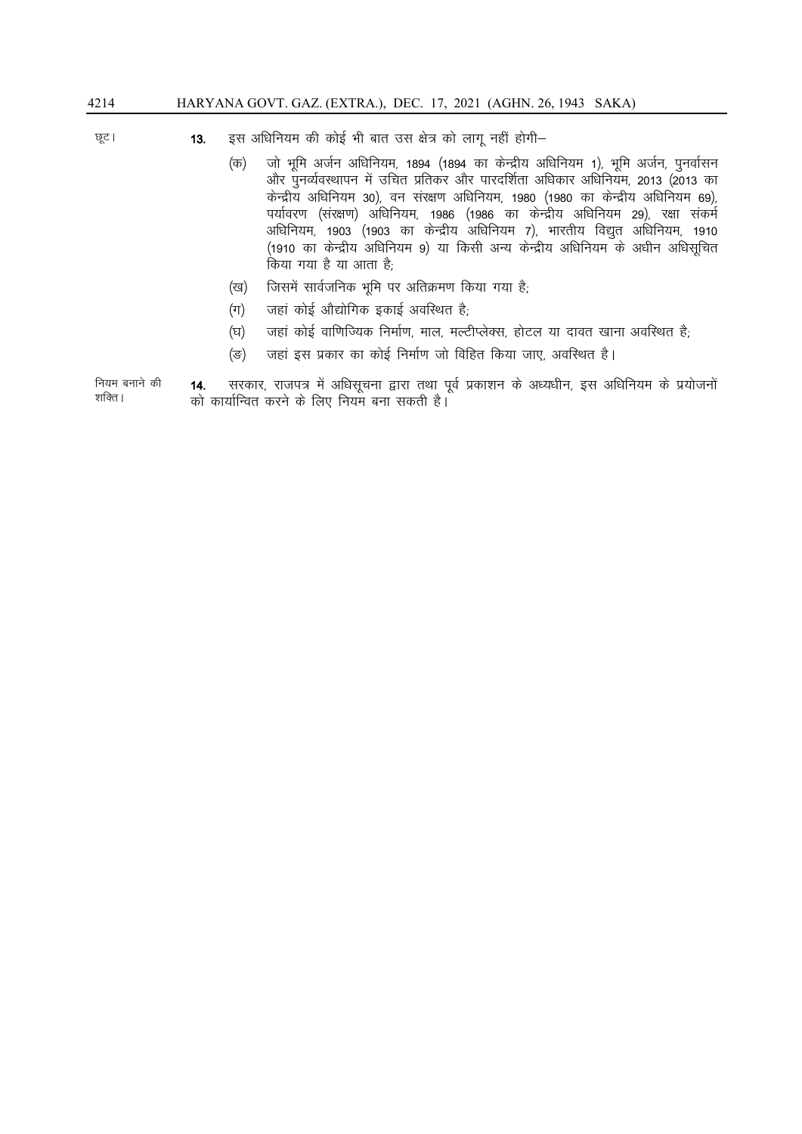#### इस अधिनियम की कोई भी बात उस क्षेत्र को लागू नहीं होगी– छूट ।  $13.$

- $(\overline{45})$ जो भूमि अर्जन अधिनियम, 1894 (1894 का केन्द्रीय अधिनियम 1), भूमि अर्जन, पुनर्वासन और पुनर्व्यवस्थापन में उचित प्रतिकर और पारदर्शिता अधिकार अधिनियम, 2013 (2013 का केन्द्रीय अधिनियम 30), वन संरक्षण अधिनियम, 1980 (1980 का केन्द्रीय अधिनियम 69), पर्यावरण (संरक्षण) अधिनियम, 1986 (1986 का केन्द्रीय अधिनियम 29), रक्षा संकर्म अधिनियम, 1903 (1903 का केन्द्रीय अधिनियम 7), भारतीय विद्युत अधिनियम, 1910 (1910 का केन्द्रीय अधिनियम 9) या किसी अन्य केन्द्रीय अधिनियम के अधीन अधिसूचित किया गया है या आता है;
- जिसमें सार्वजनिक भूमि पर अतिक्रमण किया गया है; (ख)
- जहां कोई औद्योगिक इकाई अवस्थित है,  $(\pi)$
- जहां कोई वाणिज्यिक निर्माण, माल, मल्टीप्लेक्स, होटल या दावत खाना अवस्थित है; (घ)
- जहां इस प्रकार का कोई निर्माण जो विहित किया जाए, अवस्थित है।  $(\overline{S})$

नियम बनाने की सरकार, राजपत्र में अधिसूचना द्वारा तथा पूर्व प्रकाशन के अध्यधीन, इस अधिनियम के प्रयोजनों 14. शक्ति । को कार्यान्वित करने के लिए नियम बना सकती है।

4214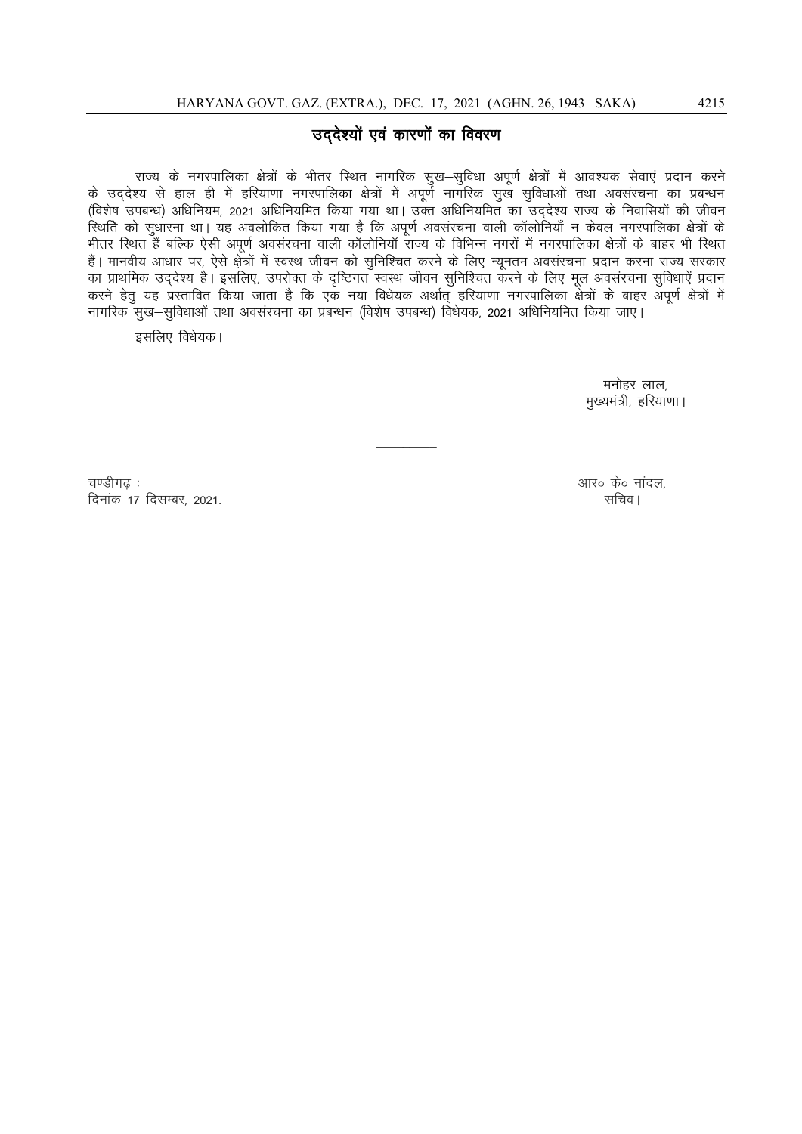#### उद्देश्यों एवं कारणों का विवरण

राज्य के नगरपालिका क्षेत्रों के भीतर स्थित नागरिक सुख-सुविधा अपूर्ण क्षेत्रों में आवश्यक सेवाएं प्रदान करने के उद्देश्य से हाल ही में हरियाणा नगरपालिका क्षेत्रों में अपूर्ण नागरिक सुखे-सुविधाओं तथा अवसरचना का प्रबन्धन (विशेष उपबन्ध) अधिनियम, 2021 अधिनियमित किया गया था। उक्त अधिनियमित का उद्देश्य राज्य के निवासियों की जीवन स्थिति को सुधारना था। यह अवलोकित किया गया है कि अपूर्ण अवसंरचना वाली कॉलोनियाँ न केवल नगरपालिका क्षेत्रों के भीतर स्थित हैं बल्कि ऐसी अपूर्ण अवसंरचना वाली कॉलोनियाँ राज्य के विभिन्न नगरों में नगरपालिका क्षेत्रों के बाहर भी स्थित हैं। मानवीय आधार पर, ऐसे क्षेत्रों में स्वस्थ जीवन को सुनिश्चित करने के लिए न्यूनतम अवसंरचना प्रदान करना राज्य सरकार का प्राथमिक उद्देश्य है। इसलिए, उपरोक्त के दृष्टिगत स्वस्थ जीवन सुनिश्चित करने के लिए मूल अवसंरचना सुविधाऐं प्रदान<br>करने हेतु यह प्रस्तावित किया जाता है कि एक नया विधेयक अर्थात् हरियाणा नगरपालिका क्षेत्रों के बाहर अपूर्ण क नागरिक सुख-सुविधाओं तथा अवसंरचना का प्रबन्धन (विशेष उपबन्ध) विधेयक, 2021 अधिनियमित किया जाए।

इसलिए विधेयक।

मनोहर लाल, मुख्यमंत्री, हरियाणा।

चण्डीगढ : दिनांक 17 दिसम्बर, 2021. आर० के० नांदल. सचिव।